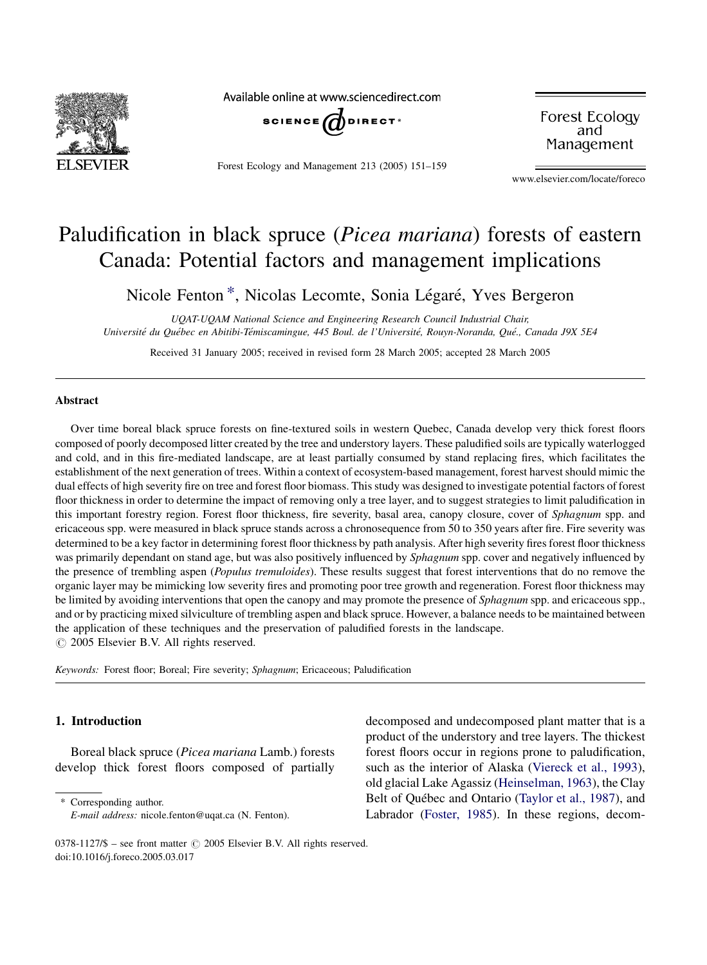

Available online at www.sciencedirect.com



Forest Ecology and Management 213 (2005) 151–159

Forest Ecology and Management

www.elsevier.com/locate/foreco

# Paludification in black spruce (Picea mariana) forests of eastern Canada: Potential factors and management implications

Nicole Fenton<sup>\*</sup>, Nicolas Lecomte, Sonia Légaré, Yves Bergeron

UQAT-UQAM National Science and Engineering Research Council Industrial Chair, Université du Québec en Abitibi-Témiscamingue, 445 Boul. de l'Université, Rouyn-Noranda, Qué., Canada J9X 5E4

Received 31 January 2005; received in revised form 28 March 2005; accepted 28 March 2005

# Abstract

Over time boreal black spruce forests on fine-textured soils in western Quebec, Canada develop very thick forest floors composed of poorly decomposed litter created by the tree and understory layers. These paludified soils are typically waterlogged and cold, and in this fire-mediated landscape, are at least partially consumed by stand replacing fires, which facilitates the establishment of the next generation of trees. Within a context of ecosystem-based management, forest harvest should mimic the dual effects of high severity fire on tree and forest floor biomass. This study was designed to investigate potential factors of forest floor thickness in order to determine the impact of removing only a tree layer, and to suggest strategies to limit paludification in this important forestry region. Forest floor thickness, fire severity, basal area, canopy closure, cover of Sphagnum spp. and ericaceous spp. were measured in black spruce stands across a chronosequence from 50 to 350 years after fire. Fire severity was determined to be a key factor in determining forest floor thickness by path analysis. After high severity fires forest floor thickness was primarily dependant on stand age, but was also positively influenced by Sphagnum spp. cover and negatively influenced by the presence of trembling aspen (*Populus tremuloides*). These results suggest that forest interventions that do no remove the organic layer may be mimicking low severity fires and promoting poor tree growth and regeneration. Forest floor thickness may be limited by avoiding interventions that open the canopy and may promote the presence of Sphagnum spp. and ericaceous spp., and or by practicing mixed silviculture of trembling aspen and black spruce. However, a balance needs to be maintained between the application of these techniques and the preservation of paludified forests in the landscape.  $\odot$  2005 Elsevier B.V. All rights reserved.

Keywords: Forest floor; Boreal; Fire severity; Sphagnum; Ericaceous; Paludification

# 1. Introduction

Boreal black spruce (Picea mariana Lamb.) forests develop thick forest floors composed of partially

Corresponding author. E-mail address: nicole.fenton@uqat.ca (N. Fenton). decomposed and undecomposed plant matter that is a product of the understory and tree layers. The thickest forest floors occur in regions prone to paludification, such as the interior of Alaska ([Viereck et al., 1993](#page-8-0)), old glacial Lake Agassiz ([Heinselman, 1963\)](#page-8-0), the Clay Belt of Québec and Ontario ([Taylor et al., 1987\)](#page-8-0), and Labrador ([Foster, 1985](#page-7-0)). In these regions, decom-

<sup>0378-1127/\$ –</sup> see front matter © 2005 Elsevier B.V. All rights reserved. doi:10.1016/j.foreco.2005.03.017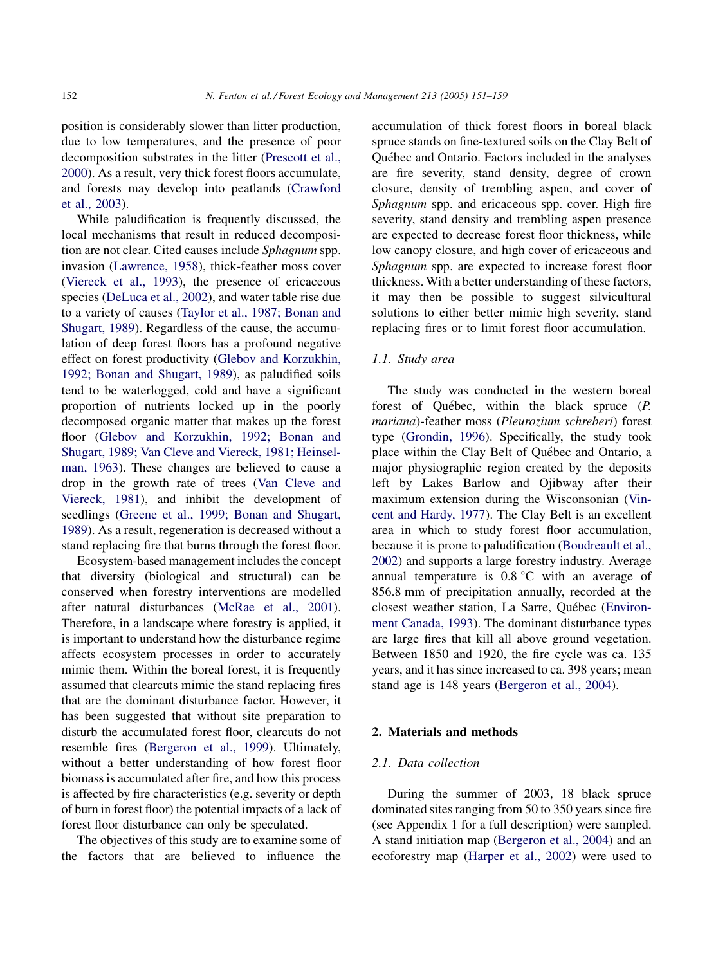position is considerably slower than litter production, due to low temperatures, and the presence of poor decomposition substrates in the litter [\(Prescott et al.,](#page-8-0) [2000](#page-8-0)). As a result, very thick forest floors accumulate, and forests may develop into peatlands [\(Crawford](#page-7-0) [et al., 2003\)](#page-7-0).

While paludification is frequently discussed, the local mechanisms that result in reduced decomposition are not clear. Cited causes include Sphagnum spp. invasion ([Lawrence, 1958\)](#page-8-0), thick-feather moss cover ([Viereck et al., 1993](#page-8-0)), the presence of ericaceous species ([DeLuca et al., 2002](#page-7-0)), and water table rise due to a variety of causes [\(Taylor et al., 1987; Bonan and](#page-8-0) [Shugart, 1989\)](#page-8-0). Regardless of the cause, the accumulation of deep forest floors has a profound negative effect on forest productivity ([Glebov and Korzukhin,](#page-7-0) [1992; Bonan and Shugart, 1989](#page-7-0)), as paludified soils tend to be waterlogged, cold and have a significant proportion of nutrients locked up in the poorly decomposed organic matter that makes up the forest floor [\(Glebov and Korzukhin, 1992; Bonan and](#page-7-0) [Shugart, 1989; Van Cleve and Viereck, 1981; Heinsel](#page-7-0)[man, 1963](#page-7-0)). These changes are believed to cause a drop in the growth rate of trees [\(Van Cleve and](#page-8-0) [Viereck, 1981](#page-8-0)), and inhibit the development of seedlings [\(Greene et al., 1999; Bonan and Shugart,](#page-7-0) [1989](#page-7-0)). As a result, regeneration is decreased without a stand replacing fire that burns through the forest floor.

Ecosystem-based management includes the concept that diversity (biological and structural) can be conserved when forestry interventions are modelled after natural disturbances [\(McRae et al., 2001\)](#page-8-0). Therefore, in a landscape where forestry is applied, it is important to understand how the disturbance regime affects ecosystem processes in order to accurately mimic them. Within the boreal forest, it is frequently assumed that clearcuts mimic the stand replacing fires that are the dominant disturbance factor. However, it has been suggested that without site preparation to disturb the accumulated forest floor, clearcuts do not resemble fires ([Bergeron et al., 1999\)](#page-7-0). Ultimately, without a better understanding of how forest floor biomass is accumulated after fire, and how this process is affected by fire characteristics (e.g. severity or depth of burn in forest floor) the potential impacts of a lack of forest floor disturbance can only be speculated.

The objectives of this study are to examine some of the factors that are believed to influence the

accumulation of thick forest floors in boreal black spruce stands on fine-textured soils on the Clay Belt of Québec and Ontario. Factors included in the analyses are fire severity, stand density, degree of crown closure, density of trembling aspen, and cover of Sphagnum spp. and ericaceous spp. cover. High fire severity, stand density and trembling aspen presence are expected to decrease forest floor thickness, while low canopy closure, and high cover of ericaceous and Sphagnum spp. are expected to increase forest floor thickness. With a better understanding of these factors, it may then be possible to suggest silvicultural solutions to either better mimic high severity, stand replacing fires or to limit forest floor accumulation.

#### 1.1. Study area

The study was conducted in the western boreal forest of Québec, within the black spruce  $(P, P)$ mariana)-feather moss (Pleurozium schreberi) forest type [\(Grondin, 1996\)](#page-7-0). Specifically, the study took place within the Clay Belt of Québec and Ontario, a major physiographic region created by the deposits left by Lakes Barlow and Ojibway after their maximum extension during the Wisconsonian ([Vin](#page-8-0)[cent and Hardy, 1977\)](#page-8-0). The Clay Belt is an excellent area in which to study forest floor accumulation, because it is prone to paludification [\(Boudreault et al.,](#page-7-0) [2002](#page-7-0)) and supports a large forestry industry. Average annual temperature is  $0.8\degree C$  with an average of 856.8 mm of precipitation annually, recorded at the closest weather station, La Sarre, Québec [\(Environ](#page-7-0)[ment Canada, 1993](#page-7-0)). The dominant disturbance types are large fires that kill all above ground vegetation. Between 1850 and 1920, the fire cycle was ca. 135 years, and it has since increased to ca. 398 years; mean stand age is 148 years [\(Bergeron et al., 2004\)](#page-7-0).

#### 2. Materials and methods

### 2.1. Data collection

During the summer of 2003, 18 black spruce dominated sites ranging from 50 to 350 years since fire (see Appendix 1 for a full description) were sampled. A stand initiation map [\(Bergeron et al., 2004\)](#page-7-0) and an ecoforestry map ([Harper et al., 2002](#page-8-0)) were used to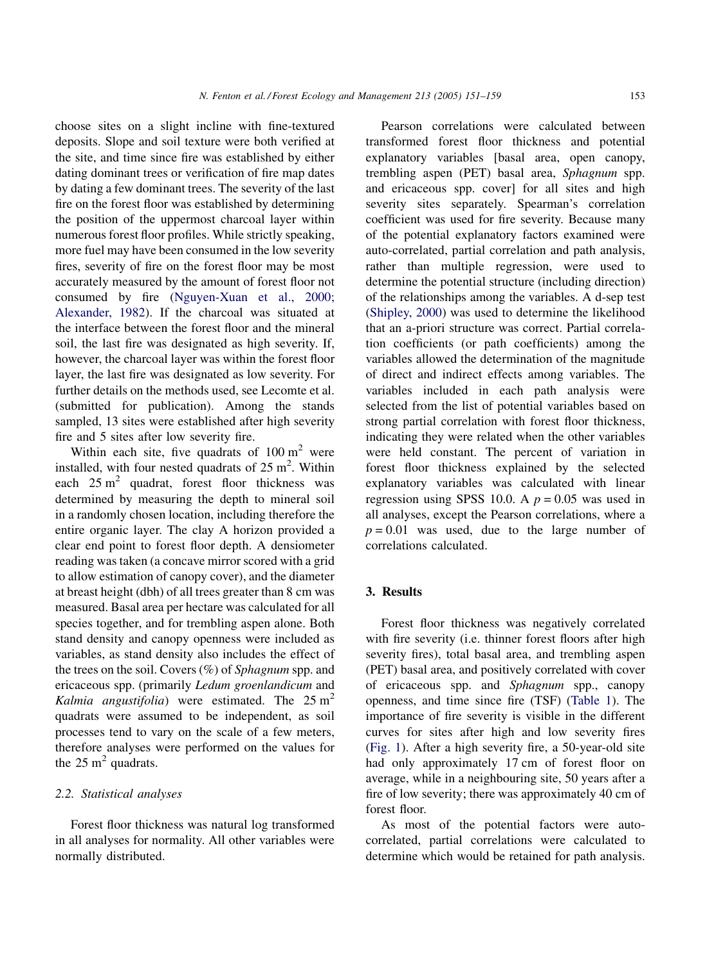choose sites on a slight incline with fine-textured deposits. Slope and soil texture were both verified at the site, and time since fire was established by either dating dominant trees or verification of fire map dates by dating a few dominant trees. The severity of the last fire on the forest floor was established by determining the position of the uppermost charcoal layer within numerous forest floor profiles. While strictly speaking, more fuel may have been consumed in the low severity fires, severity of fire on the forest floor may be most accurately measured by the amount of forest floor not consumed by fire [\(Nguyen-Xuan et al., 2000;](#page-8-0) [Alexander, 1982\)](#page-8-0). If the charcoal was situated at the interface between the forest floor and the mineral soil, the last fire was designated as high severity. If, however, the charcoal layer was within the forest floor layer, the last fire was designated as low severity. For further details on the methods used, see Lecomte et al. (submitted for publication). Among the stands sampled, 13 sites were established after high severity fire and 5 sites after low severity fire.

Within each site, five quadrats of  $100 \text{ m}^2$  were installed, with four nested quadrats of  $25 \text{ m}^2$ . Within each  $25 \text{ m}^2$  quadrat, forest floor thickness was determined by measuring the depth to mineral soil in a randomly chosen location, including therefore the entire organic layer. The clay A horizon provided a clear end point to forest floor depth. A densiometer reading was taken (a concave mirror scored with a grid to allow estimation of canopy cover), and the diameter at breast height (dbh) of all trees greater than 8 cm was measured. Basal area per hectare was calculated for all species together, and for trembling aspen alone. Both stand density and canopy openness were included as variables, as stand density also includes the effect of the trees on the soil. Covers  $(\%)$  of *Sphagnum* spp. and ericaceous spp. (primarily Ledum groenlandicum and Kalmia angustifolia) were estimated. The  $25 \text{ m}^2$ quadrats were assumed to be independent, as soil processes tend to vary on the scale of a few meters, therefore analyses were performed on the values for the  $25 \text{ m}^2$  quadrats.

## 2.2. Statistical analyses

Forest floor thickness was natural log transformed in all analyses for normality. All other variables were normally distributed.

Pearson correlations were calculated between transformed forest floor thickness and potential explanatory variables [basal area, open canopy, trembling aspen (PET) basal area, Sphagnum spp. and ericaceous spp. cover] for all sites and high severity sites separately. Spearman's correlation coefficient was used for fire severity. Because many of the potential explanatory factors examined were auto-correlated, partial correlation and path analysis, rather than multiple regression, were used to determine the potential structure (including direction) of the relationships among the variables. A d-sep test ([Shipley, 2000](#page-8-0)) was used to determine the likelihood that an a-priori structure was correct. Partial correlation coefficients (or path coefficients) among the variables allowed the determination of the magnitude of direct and indirect effects among variables. The variables included in each path analysis were selected from the list of potential variables based on strong partial correlation with forest floor thickness, indicating they were related when the other variables were held constant. The percent of variation in forest floor thickness explained by the selected explanatory variables was calculated with linear regression using SPSS 10.0. A  $p = 0.05$  was used in all analyses, except the Pearson correlations, where a  $p = 0.01$  was used, due to the large number of correlations calculated.

## 3. Results

Forest floor thickness was negatively correlated with fire severity (i.e. thinner forest floors after high severity fires), total basal area, and trembling aspen (PET) basal area, and positively correlated with cover of ericaceous spp. and Sphagnum spp., canopy openness, and time since fire (TSF) ([Table 1](#page-3-0)). The importance of fire severity is visible in the different curves for sites after high and low severity fires ([Fig. 1](#page-3-0)). After a high severity fire, a 50-year-old site had only approximately 17 cm of forest floor on average, while in a neighbouring site, 50 years after a fire of low severity; there was approximately 40 cm of forest floor.

As most of the potential factors were autocorrelated, partial correlations were calculated to determine which would be retained for path analysis.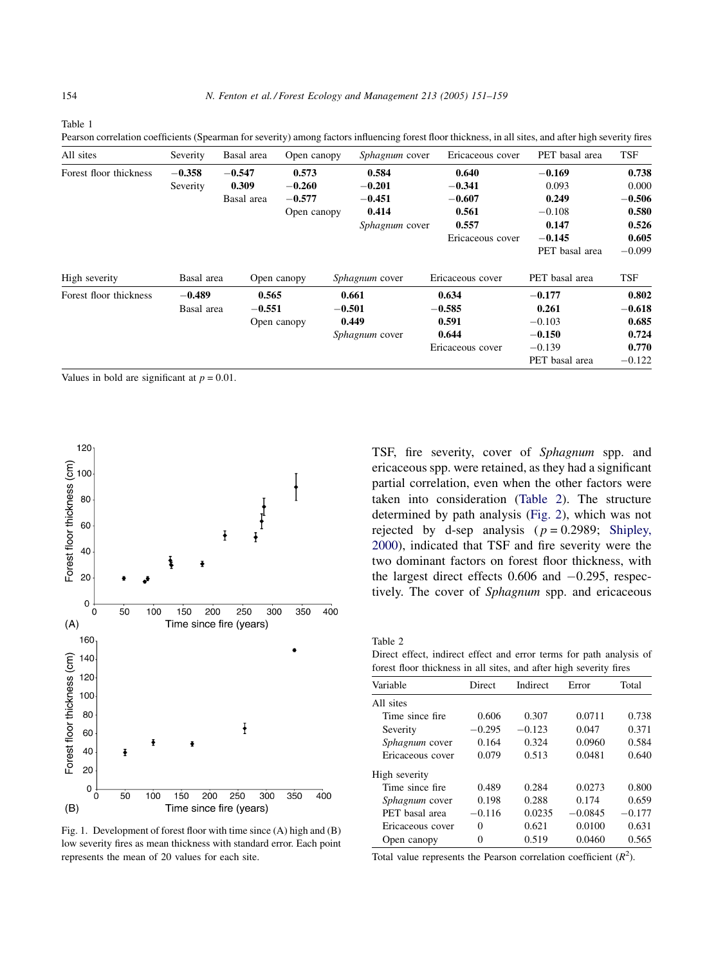| All sites              | Severity                                                   | Basal area                      | Open canopy                                         | <i>Sphagnum</i> cover                                           | Ericaceous cover                                                        | PET basal area                                                                | <b>TSF</b>                                                        |
|------------------------|------------------------------------------------------------|---------------------------------|-----------------------------------------------------|-----------------------------------------------------------------|-------------------------------------------------------------------------|-------------------------------------------------------------------------------|-------------------------------------------------------------------|
| Forest floor thickness | $-0.358$<br>Severity                                       | $-0.547$<br>0.309<br>Basal area | 0.573<br>$-0.260$<br>$-0.577$<br>Open canopy        | 0.584<br>$-0.201$<br>$-0.451$<br>0.414<br><i>Sphagnum</i> cover | 0.640<br>$-0.341$<br>$-0.607$<br>0.561<br>0.557<br>Ericaceous cover     | $-0.169$<br>0.093<br>0.249<br>$-0.108$<br>0.147<br>$-0.145$<br>PET basal area | 0.738<br>0.000<br>$-0.506$<br>0.580<br>0.526<br>0.605<br>$-0.099$ |
| High severity          | Basal area                                                 |                                 | Open canopy                                         | <i>Sphagnum</i> cover                                           | Ericaceous cover                                                        | PET basal area                                                                | <b>TSF</b>                                                        |
| Forest floor thickness | $-0.489$<br>0.565<br>Basal area<br>$-0.551$<br>Open canopy |                                 | 0.661<br>$-0.501$<br>0.449<br><i>Sphagnum</i> cover | 0.634<br>$-0.585$<br>0.591<br>0.644<br>Ericaceous cover         | $-0.177$<br>0.261<br>$-0.103$<br>$-0.150$<br>$-0.139$<br>PET basal area | 0.802<br>$-0.618$<br>0.685<br>0.724<br>0.770<br>$-0.122$                      |                                                                   |

Pearson correlation coefficients (Spearman for severity) among factors influencing forest floor thickness, in all sites, and after high severity fires

Values in bold are significant at  $p = 0.01$ .



Fig. 1. Development of forest floor with time since (A) high and (B) low severity fires as mean thickness with standard error. Each point represents the mean of 20 values for each site.

TSF, fire severity, cover of Sphagnum spp. and ericaceous spp. were retained, as they had a significant partial correlation, even when the other factors were taken into consideration (Table 2). The structure determined by path analysis [\(Fig. 2\)](#page-4-0), which was not rejected by d-sep analysis ( $p = 0.2989$ ; [Shipley,](#page-8-0) [2000](#page-8-0)), indicated that TSF and fire severity were the two dominant factors on forest floor thickness, with the largest direct effects  $0.606$  and  $-0.295$ , respectively. The cover of Sphagnum spp. and ericaceous

| $\sim$<br>. .<br>×<br>۰, |  |
|--------------------------|--|
|--------------------------|--|

Direct effect, indirect effect and error terms for path analysis of forest floor thickness in all sites, and after high severity fires

| Variable              | Direct   | Indirect | Error     | Total    |  |  |
|-----------------------|----------|----------|-----------|----------|--|--|
| All sites             |          |          |           |          |  |  |
| Time since fire       | 0.606    | 0.307    | 0.0711    | 0.738    |  |  |
| Severity              | $-0.295$ | $-0.123$ | 0.047     | 0.371    |  |  |
| <i>Sphagnum</i> cover | 0.164    | 0.324    | 0.0960    | 0.584    |  |  |
| Ericaceous cover      | 0.079    | 0.513    | 0.0481    | 0.640    |  |  |
| High severity         |          |          |           |          |  |  |
| Time since fire       | 0.489    | 0.284    | 0.0273    | 0.800    |  |  |
| <i>Sphagnum</i> cover | 0.198    | 0.288    | 0.174     | 0.659    |  |  |
| PET basal area        | $-0.116$ | 0.0235   | $-0.0845$ | $-0.177$ |  |  |
| Ericaceous cover      | $\Omega$ | 0.621    | 0.0100    | 0.631    |  |  |
| Open canopy           | $\Omega$ | 0.519    | 0.0460    | 0.565    |  |  |

Total value represents the Pearson correlation coefficient  $(R^2)$ .

<span id="page-3-0"></span>Table 1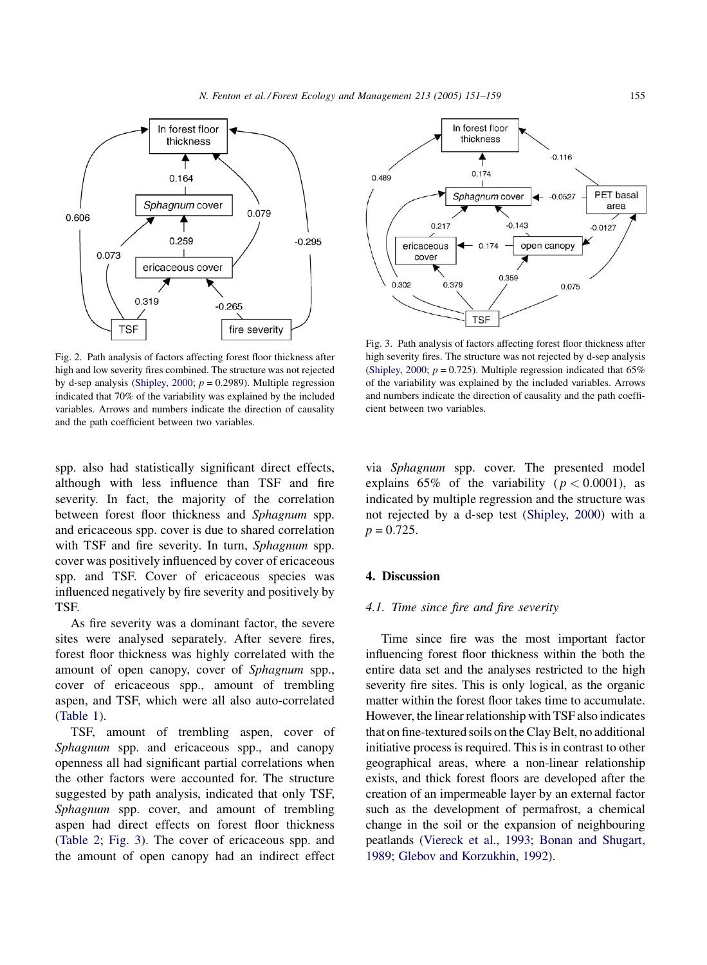<span id="page-4-0"></span>

Fig. 2. Path analysis of factors affecting forest floor thickness after high and low severity fires combined. The structure was not rejected by d-sep analysis [\(Shipley, 2000](#page-8-0);  $p = 0.2989$ ). Multiple regression indicated that 70% of the variability was explained by the included variables. Arrows and numbers indicate the direction of causality and the path coefficient between two variables.

spp. also had statistically significant direct effects, although with less influence than TSF and fire severity. In fact, the majority of the correlation between forest floor thickness and Sphagnum spp. and ericaceous spp. cover is due to shared correlation with TSF and fire severity. In turn, Sphagnum spp. cover was positively influenced by cover of ericaceous spp. and TSF. Cover of ericaceous species was influenced negatively by fire severity and positively by TSF.

As fire severity was a dominant factor, the severe sites were analysed separately. After severe fires, forest floor thickness was highly correlated with the amount of open canopy, cover of Sphagnum spp., cover of ericaceous spp., amount of trembling aspen, and TSF, which were all also auto-correlated ([Table 1](#page-3-0)).

TSF, amount of trembling aspen, cover of Sphagnum spp. and ericaceous spp., and canopy openness all had significant partial correlations when the other factors were accounted for. The structure suggested by path analysis, indicated that only TSF, Sphagnum spp. cover, and amount of trembling aspen had direct effects on forest floor thickness ([Table 2;](#page-3-0) Fig. 3). The cover of ericaceous spp. and the amount of open canopy had an indirect effect



Fig. 3. Path analysis of factors affecting forest floor thickness after high severity fires. The structure was not rejected by d-sep analysis [\(Shipley, 2000](#page-8-0);  $p = 0.725$ ). Multiple regression indicated that 65% of the variability was explained by the included variables. Arrows and numbers indicate the direction of causality and the path coefficient between two variables.

via Sphagnum spp. cover. The presented model explains 65% of the variability ( $p < 0.0001$ ), as indicated by multiple regression and the structure was not rejected by a d-sep test ([Shipley, 2000\)](#page-8-0) with a  $p = 0.725$ .

## 4. Discussion

## 4.1. Time since fire and fire severity

Time since fire was the most important factor influencing forest floor thickness within the both the entire data set and the analyses restricted to the high severity fire sites. This is only logical, as the organic matter within the forest floor takes time to accumulate. However, the linear relationship with TSF also indicates that on fine-textured soils on the Clay Belt, no additional initiative process is required. This is in contrast to other geographical areas, where a non-linear relationship exists, and thick forest floors are developed after the creation of an impermeable layer by an external factor such as the development of permafrost, a chemical change in the soil or the expansion of neighbouring peatlands [\(Viereck et al., 1993; Bonan and Shugart,](#page-8-0) [1989; Glebov and Korzukhin, 1992](#page-8-0)).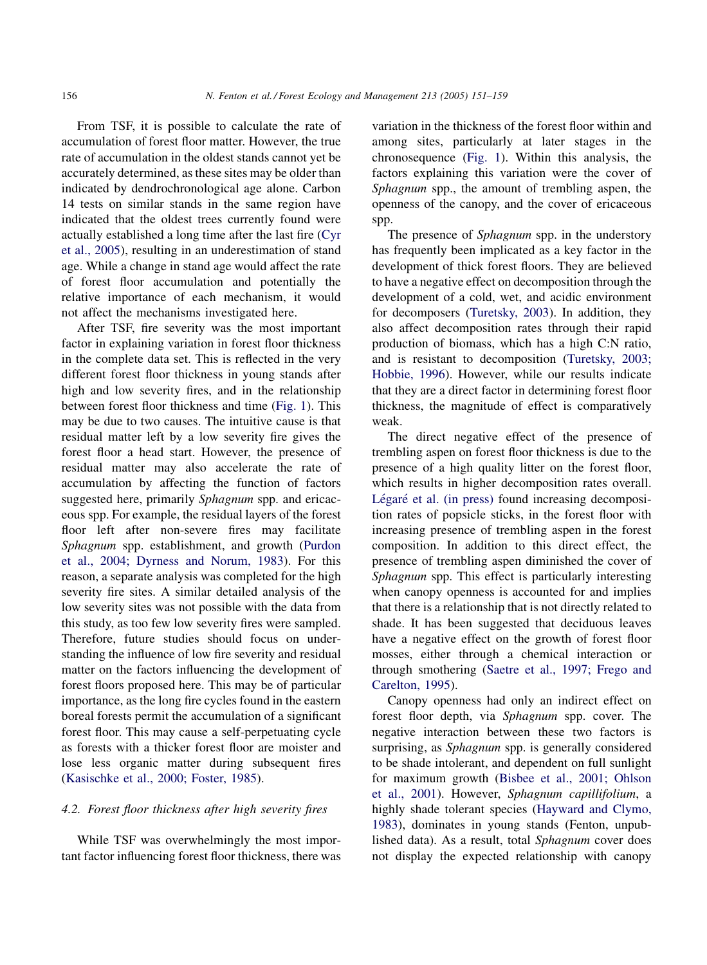From TSF, it is possible to calculate the rate of accumulation of forest floor matter. However, the true rate of accumulation in the oldest stands cannot yet be accurately determined, as these sites may be older than indicated by dendrochronological age alone. Carbon 14 tests on similar stands in the same region have indicated that the oldest trees currently found were actually established a long time after the last fire ([Cyr](#page-7-0) [et al., 2005\)](#page-7-0), resulting in an underestimation of stand age. While a change in stand age would affect the rate of forest floor accumulation and potentially the relative importance of each mechanism, it would not affect the mechanisms investigated here.

After TSF, fire severity was the most important factor in explaining variation in forest floor thickness in the complete data set. This is reflected in the very different forest floor thickness in young stands after high and low severity fires, and in the relationship between forest floor thickness and time [\(Fig. 1](#page-3-0)). This may be due to two causes. The intuitive cause is that residual matter left by a low severity fire gives the forest floor a head start. However, the presence of residual matter may also accelerate the rate of accumulation by affecting the function of factors suggested here, primarily Sphagnum spp. and ericaceous spp. For example, the residual layers of the forest floor left after non-severe fires may facilitate Sphagnum spp. establishment, and growth ([Purdon](#page-8-0) [et al., 2004; Dyrness and Norum, 1983](#page-8-0)). For this reason, a separate analysis was completed for the high severity fire sites. A similar detailed analysis of the low severity sites was not possible with the data from this study, as too few low severity fires were sampled. Therefore, future studies should focus on understanding the influence of low fire severity and residual matter on the factors influencing the development of forest floors proposed here. This may be of particular importance, as the long fire cycles found in the eastern boreal forests permit the accumulation of a significant forest floor. This may cause a self-perpetuating cycle as forests with a thicker forest floor are moister and lose less organic matter during subsequent fires ([Kasischke et al., 2000; Foster, 1985\)](#page-8-0).

#### 4.2. Forest floor thickness after high severity fires

While TSF was overwhelmingly the most important factor influencing forest floor thickness, there was variation in the thickness of the forest floor within and among sites, particularly at later stages in the chronosequence ([Fig. 1\)](#page-3-0). Within this analysis, the factors explaining this variation were the cover of Sphagnum spp., the amount of trembling aspen, the openness of the canopy, and the cover of ericaceous spp.

The presence of *Sphagnum* spp. in the understory has frequently been implicated as a key factor in the development of thick forest floors. They are believed to have a negative effect on decomposition through the development of a cold, wet, and acidic environment for decomposers ([Turetsky, 2003\)](#page-8-0). In addition, they also affect decomposition rates through their rapid production of biomass, which has a high C:N ratio, and is resistant to decomposition ([Turetsky, 2003;](#page-8-0) [Hobbie, 1996\)](#page-8-0). However, while our results indicate that they are a direct factor in determining forest floor thickness, the magnitude of effect is comparatively weak.

The direct negative effect of the presence of trembling aspen on forest floor thickness is due to the presence of a high quality litter on the forest floor, which results in higher decomposition rates overall. Légaré [et al. \(in press\)](#page-8-0) found increasing decomposition rates of popsicle sticks, in the forest floor with increasing presence of trembling aspen in the forest composition. In addition to this direct effect, the presence of trembling aspen diminished the cover of Sphagnum spp. This effect is particularly interesting when canopy openness is accounted for and implies that there is a relationship that is not directly related to shade. It has been suggested that deciduous leaves have a negative effect on the growth of forest floor mosses, either through a chemical interaction or through smothering ([Saetre et al., 1997; Frego and](#page-8-0) [Carelton, 1995\)](#page-8-0).

Canopy openness had only an indirect effect on forest floor depth, via Sphagnum spp. cover. The negative interaction between these two factors is surprising, as *Sphagnum* spp. is generally considered to be shade intolerant, and dependent on full sunlight for maximum growth [\(Bisbee et al., 2001; Ohlson](#page-7-0) [et al., 2001](#page-7-0)). However, Sphagnum capillifolium, a highly shade tolerant species [\(Hayward and Clymo,](#page-8-0) [1983](#page-8-0)), dominates in young stands (Fenton, unpublished data). As a result, total Sphagnum cover does not display the expected relationship with canopy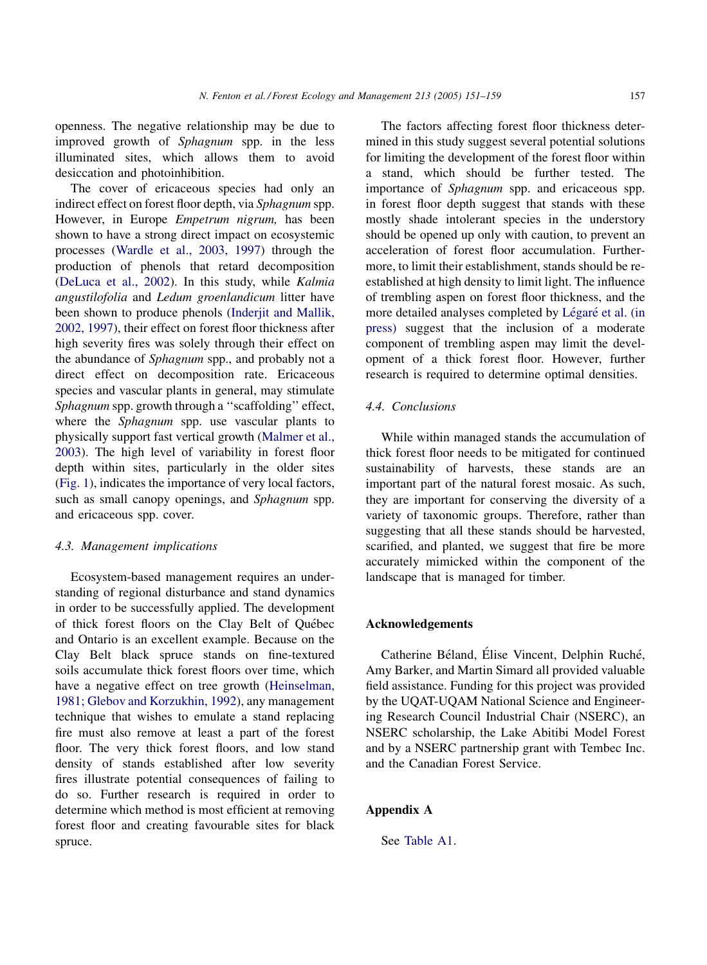openness. The negative relationship may be due to improved growth of Sphagnum spp. in the less illuminated sites, which allows them to avoid desiccation and photoinhibition.

The cover of ericaceous species had only an indirect effect on forest floor depth, via Sphagnum spp. However, in Europe Empetrum nigrum, has been shown to have a strong direct impact on ecosystemic processes [\(Wardle et al., 2003, 1997\)](#page-8-0) through the production of phenols that retard decomposition ([DeLuca et al., 2002\)](#page-7-0). In this study, while Kalmia angustilofolia and Ledum groenlandicum litter have been shown to produce phenols ([Inderjit and Mallik,](#page-8-0) [2002, 1997](#page-8-0)), their effect on forest floor thickness after high severity fires was solely through their effect on the abundance of Sphagnum spp., and probably not a direct effect on decomposition rate. Ericaceous species and vascular plants in general, may stimulate Sphagnum spp. growth through a ''scaffolding'' effect, where the Sphagnum spp. use vascular plants to physically support fast vertical growth ([Malmer et al.,](#page-8-0) [2003](#page-8-0)). The high level of variability in forest floor depth within sites, particularly in the older sites ([Fig. 1\)](#page-3-0), indicates the importance of very local factors, such as small canopy openings, and Sphagnum spp. and ericaceous spp. cover.

### 4.3. Management implications

Ecosystem-based management requires an understanding of regional disturbance and stand dynamics in order to be successfully applied. The development of thick forest floors on the Clay Belt of Québec and Ontario is an excellent example. Because on the Clay Belt black spruce stands on fine-textured soils accumulate thick forest floors over time, which have a negative effect on tree growth [\(Heinselman,](#page-8-0) [1981; Glebov and Korzukhin, 1992](#page-8-0)), any management technique that wishes to emulate a stand replacing fire must also remove at least a part of the forest floor. The very thick forest floors, and low stand density of stands established after low severity fires illustrate potential consequences of failing to do so. Further research is required in order to determine which method is most efficient at removing forest floor and creating favourable sites for black spruce.

The factors affecting forest floor thickness determined in this study suggest several potential solutions for limiting the development of the forest floor within a stand, which should be further tested. The importance of Sphagnum spp. and ericaceous spp. in forest floor depth suggest that stands with these mostly shade intolerant species in the understory should be opened up only with caution, to prevent an acceleration of forest floor accumulation. Furthermore, to limit their establishment, stands should be reestablished at high density to limit light. The influence of trembling aspen on forest floor thickness, and the more detailed analyses completed by Légaré [et al. \(in](#page-8-0) [press\)](#page-8-0) suggest that the inclusion of a moderate component of trembling aspen may limit the development of a thick forest floor. However, further research is required to determine optimal densities.

## 4.4. Conclusions

While within managed stands the accumulation of thick forest floor needs to be mitigated for continued sustainability of harvests, these stands are an important part of the natural forest mosaic. As such, they are important for conserving the diversity of a variety of taxonomic groups. Therefore, rather than suggesting that all these stands should be harvested, scarified, and planted, we suggest that fire be more accurately mimicked within the component of the landscape that is managed for timber.

#### Acknowledgements

Catherine Béland, Élise Vincent, Delphin Ruché, Amy Barker, and Martin Simard all provided valuable field assistance. Funding for this project was provided by the UQAT-UQAM National Science and Engineering Research Council Industrial Chair (NSERC), an NSERC scholarship, the Lake Abitibi Model Forest and by a NSERC partnership grant with Tembec Inc. and the Canadian Forest Service.

# Appendix A

```
See Table A1.
```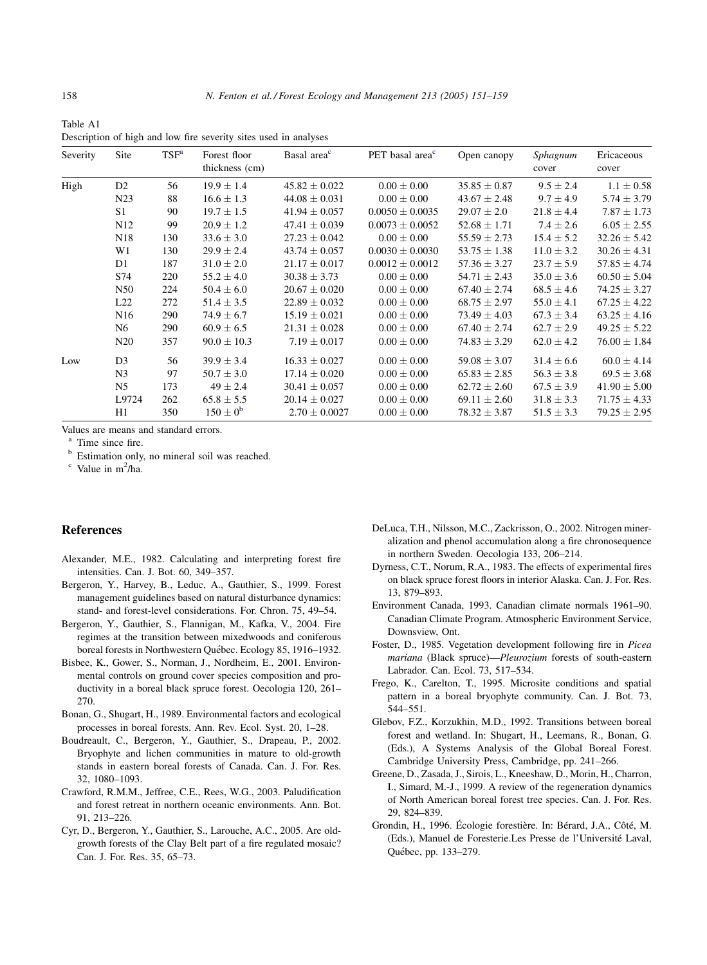<span id="page-7-0"></span>

| Table A1                                                         |  |
|------------------------------------------------------------------|--|
| Description of high and low fire severity sites used in analyses |  |

| Severity | Site            | TSF <sup>a</sup> | Forest floor<br>thickness (cm) | Basal area <sup>c</sup> | PET basal area <sup>c</sup> | Open canopy      | Sphagnum<br>cover | Ericaceous<br>cover |
|----------|-----------------|------------------|--------------------------------|-------------------------|-----------------------------|------------------|-------------------|---------------------|
| High     | D <sub>2</sub>  | 56               | $19.9 \pm 1.4$                 | $45.82 \pm 0.022$       | $0.00 \pm 0.00$             | $35.85 \pm 0.87$ | $9.5 \pm 2.4$     | $1.1 \pm 0.58$      |
|          | N <sub>23</sub> | 88               | $16.6 \pm 1.3$                 | $44.08 \pm 0.031$       | $0.00 \pm 0.00$             | $43.67 \pm 2.48$ | $9.7 \pm 4.9$     | $5.74 \pm 3.79$     |
|          | S <sub>1</sub>  | 90               | $19.7 \pm 1.5$                 | $41.94 \pm 0.057$       | $0.0050 \pm 0.0035$         | $29.07 \pm 2.0$  | $21.8 \pm 4.4$    | $7.87 \pm 1.73$     |
|          | N <sub>12</sub> | 99               | $20.9 \pm 1.2$                 | $47.41 \pm 0.039$       | $0.0073 \pm 0.0052$         | $52.68 \pm 1.71$ | $7.4 \pm 2.6$     | $6.05 \pm 2.55$     |
|          | N <sub>18</sub> | 130              | $33.6 \pm 3.0$                 | $27.23 \pm 0.042$       | $0.00 \pm 0.00$             | $55.59 \pm 2.73$ | $15.4 \pm 5.2$    | $32.26 \pm 5.42$    |
|          | W1              | 130              | $29.9 \pm 2.4$                 | $43.74 \pm 0.057$       | $0.0030 \pm 0.0030$         | $53.75 \pm 1.38$ | $11.0 \pm 3.2$    | $30.26 \pm 4.31$    |
|          | D1              | 187              | $31.0 \pm 2.0$                 | $21.17 \pm 0.017$       | $0.0012 \pm 0.0012$         | $57.36 \pm 3.27$ | $23.7 \pm 5.9$    | $57.85 \pm 4.74$    |
|          | S74             | 220              | $55.2 \pm 4.0$                 | $30.38 \pm 3.73$        | $0.00 \pm 0.00$             | $54.71 \pm 2.43$ | $35.0 \pm 3.6$    | $60.50 \pm 5.04$    |
|          | N50             | 224              | $50.4 \pm 6.0$                 | $20.67 \pm 0.020$       | $0.00 \pm 0.00$             | $67.40 \pm 2.74$ | $68.5 \pm 4.6$    | $74.25 \pm 3.27$    |
|          | L22             | 272              | $51.4 \pm 3.5$                 | $22.89 \pm 0.032$       | $0.00 \pm 0.00$             | $68.75 \pm 2.97$ | $55.0 \pm 4.1$    | $67.25 \pm 4.22$    |
|          | N <sub>16</sub> | 290              | $74.9 \pm 6.7$                 | $15.19 \pm 0.021$       | $0.00 \pm 0.00$             | $73.49 \pm 4.03$ | $67.3 \pm 3.4$    | $63.25 \pm 4.16$    |
|          | N <sub>6</sub>  | 290              | $60.9 \pm 6.5$                 | $21.31 \pm 0.028$       | $0.00 \pm 0.00$             | $67.40 \pm 2.74$ | $62.7 \pm 2.9$    | $49.25 \pm 5.22$    |
|          | N <sub>20</sub> | 357              | $90.0 \pm 10.3$                | $7.19 \pm 0.017$        | $0.00 \pm 0.00$             | $74.83 \pm 3.29$ | $62.0 \pm 4.2$    | $76.00 \pm 1.84$    |
| Low      | D <sub>3</sub>  | 56               | $39.9 \pm 3.4$                 | $16.33 \pm 0.027$       | $0.00 \pm 0.00$             | $59.08 \pm 3.07$ | $31.4 \pm 6.6$    | $60.0 \pm 4.14$     |
|          | N <sub>3</sub>  | 97               | $50.7 \pm 3.0$                 | $17.14 \pm 0.020$       | $0.00 \pm 0.00$             | $65.83 \pm 2.85$ | $56.3 \pm 3.8$    | $69.5 \pm 3.68$     |
|          | N <sub>5</sub>  | 173              | $49 \pm 2.4$                   | $30.41 \pm 0.057$       | $0.00 \pm 0.00$             | $62.72 \pm 2.60$ | $67.5 \pm 3.9$    | $41.90 \pm 5.00$    |
|          | L9724           | 262              | $65.8 \pm 5.5$                 | $20.14 \pm 0.027$       | $0.00 \pm 0.00$             | $69.11 \pm 2.60$ | $31.8 \pm 3.3$    | $71.75 \pm 4.33$    |
|          | H1              | 350              | $150 \pm 0^{\circ}$            | $2.70 \pm 0.0027$       | $0.00 \pm 0.00$             | $78.32 \pm 3.87$ | $51.5 \pm 3.3$    | $79.25 \pm 2.95$    |

Values are means and standard errors.

<sup>a</sup> Time since fire. b Estimation only, no mineral soil was reached.

 $\cdot$  Value in m<sup>2</sup>/ha.

#### References

- Alexander, M.E., 1982. Calculating and interpreting forest fire intensities. Can. J. Bot. 60, 349–357.
- Bergeron, Y., Harvey, B., Leduc, A., Gauthier, S., 1999. Forest management guidelines based on natural disturbance dynamics: stand- and forest-level considerations. For. Chron. 75, 49–54.
- Bergeron, Y., Gauthier, S., Flannigan, M., Kafka, V., 2004. Fire regimes at the transition between mixedwoods and coniferous boreal forests in Northwestern Québec. Ecology 85, 1916–1932.
- Bisbee, K., Gower, S., Norman, J., Nordheim, E., 2001. Environmental controls on ground cover species composition and productivity in a boreal black spruce forest. Oecologia 120, 261– 270.
- Bonan, G., Shugart, H., 1989. Environmental factors and ecological processes in boreal forests. Ann. Rev. Ecol. Syst. 20, 1–28.
- Boudreault, C., Bergeron, Y., Gauthier, S., Drapeau, P., 2002. Bryophyte and lichen communities in mature to old-growth stands in eastern boreal forests of Canada. Can. J. For. Res. 32, 1080–1093.
- Crawford, R.M.M., Jeffree, C.E., Rees, W.G., 2003. Paludification and forest retreat in northern oceanic environments. Ann. Bot. 91, 213–226.
- Cyr, D., Bergeron, Y., Gauthier, S., Larouche, A.C., 2005. Are oldgrowth forests of the Clay Belt part of a fire regulated mosaic? Can. J. For. Res. 35, 65–73.
- DeLuca, T.H., Nilsson, M.C., Zackrisson, O., 2002. Nitrogen mineralization and phenol accumulation along a fire chronosequence in northern Sweden. Oecologia 133, 206–214.
- Dyrness, C.T., Norum, R.A., 1983. The effects of experimental fires on black spruce forest floors in interior Alaska. Can. J. For. Res. 13, 879–893.
- Environment Canada, 1993. Canadian climate normals 1961–90. Canadian Climate Program. Atmospheric Environment Service, Downsview, Ont.
- Foster, D., 1985. Vegetation development following fire in Picea mariana (Black spruce)—Pleurozium forests of south-eastern Labrador. Can. Ecol. 73, 517–534.
- Frego, K., Carelton, T., 1995. Microsite conditions and spatial pattern in a boreal bryophyte community. Can. J. Bot. 73, 544–551.
- Glebov, F.Z., Korzukhin, M.D., 1992. Transitions between boreal forest and wetland. In: Shugart, H., Leemans, R., Bonan, G. (Eds.), A Systems Analysis of the Global Boreal Forest. Cambridge University Press, Cambridge, pp. 241–266.
- Greene, D., Zasada, J., Sirois, L., Kneeshaw, D., Morin, H., Charron, I., Simard, M.-J., 1999. A review of the regeneration dynamics of North American boreal forest tree species. Can. J. For. Res. 29, 824–839.
- Grondin, H., 1996. Écologie forestière. In: Bérard, J.A., Côté, M. (Eds.), Manuel de Foresterie.Les Presse de l'Université Laval, Québec, pp. 133-279.